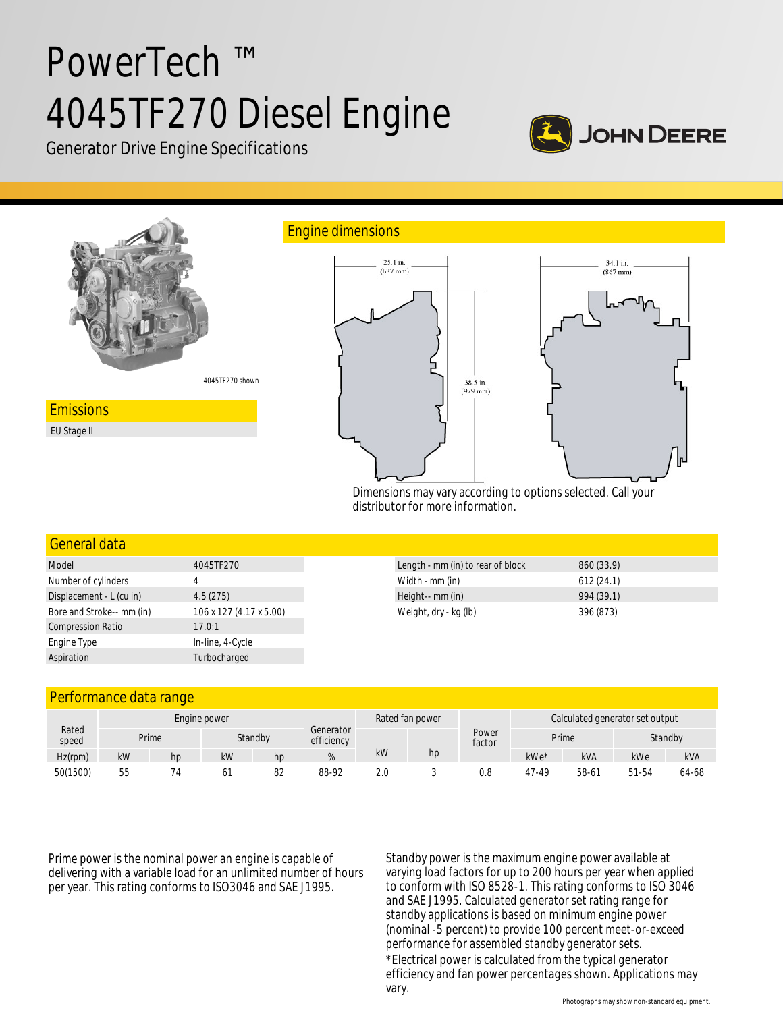# PowerTech ™ 4045TF270 Diesel Engine



Generator Drive Engine Specifications



Dimensions may vary according to options selected. Call your distributor for more information.

## General data

| Model                     | 4045TF270               |  |  |  |  |
|---------------------------|-------------------------|--|--|--|--|
| Number of cylinders       | 4                       |  |  |  |  |
| Displacement - L (cu in)  | 4.5(275)                |  |  |  |  |
| Bore and Stroke-- mm (in) | 106 x 127 (4.17 x 5.00) |  |  |  |  |
| <b>Compression Ratio</b>  | 17.0:1                  |  |  |  |  |
| Engine Type               | In-line, 4-Cycle        |  |  |  |  |
| Aspiration                | Turbocharged            |  |  |  |  |

| Length - mm (in) to rear of block | 860 (33.9) |
|-----------------------------------|------------|
| Width - mm (in)                   | 612(24.1)  |
| Height-- mm (in)                  | 994 (39.1) |
| Weight, dry - kg (lb)             | 396 (873)  |
|                                   |            |

### Performance data range

| Rated<br>speed | Engine power |    |    |         |                         | Rated fan power |    | Calculated generator set output |        |       |         |            |
|----------------|--------------|----|----|---------|-------------------------|-----------------|----|---------------------------------|--------|-------|---------|------------|
|                | Prime        |    |    | Standby | Generator<br>efficiency |                 |    | Power<br>factor                 | Prime  |       | Standby |            |
| $Hz$ (rpm)     | kW           | hp | kW | hp      |                         | kW              | hp |                                 | $kWe*$ | kVA   | kWe     | <b>kVA</b> |
| 50(1500)       | 55           |    | 61 | 82      | 88-92                   | 2.0             |    | 0.8                             | 47-49  | 58-61 | 51-54   | 64-68      |

Prime power is the nominal power an engine is capable of delivering with a variable load for an unlimited number of hours per year. This rating conforms to ISO3046 and SAE J1995.

Standby power is the maximum engine power available at varying load factors for up to 200 hours per year when applied to conform with ISO 8528-1. This rating conforms to ISO 3046 and SAE J1995. Calculated generator set rating range for standby applications is based on minimum engine power (nominal -5 percent) to provide 100 percent meet-or-exceed performance for assembled standby generator sets.

\*Electrical power is calculated from the typical generator efficiency and fan power percentages shown. Applications may vary.